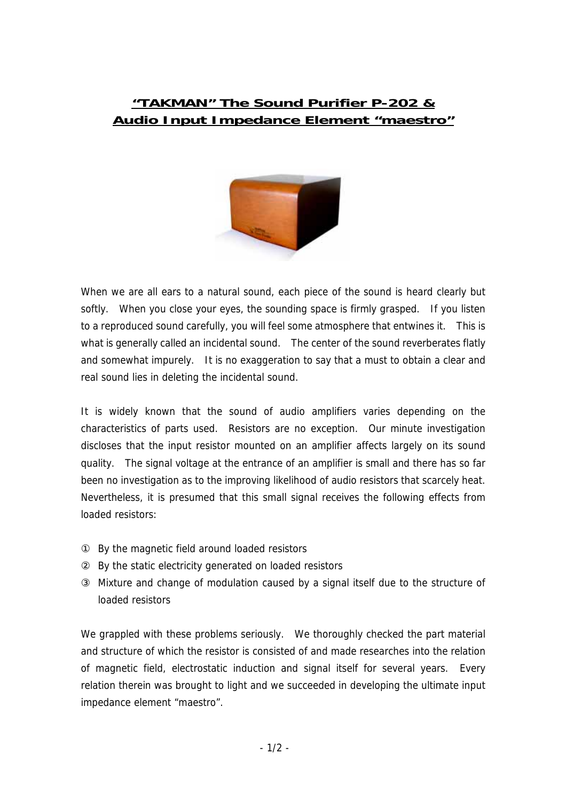## **"TAKMAN" The Sound Purifier P-202 & Audio Input Impedance Element "maestro"**



When we are all ears to a natural sound, each piece of the sound is heard clearly but softly. When you close your eyes, the sounding space is firmly grasped. If you listen to a reproduced sound carefully, you will feel some atmosphere that entwines it. This is what is generally called an incidental sound. The center of the sound reverberates flatly and somewhat impurely. It is no exaggeration to say that a must to obtain a clear and real sound lies in deleting the incidental sound.

It is widely known that the sound of audio amplifiers varies depending on the characteristics of parts used. Resistors are no exception. Our minute investigation discloses that the input resistor mounted on an amplifier affects largely on its sound quality. The signal voltage at the entrance of an amplifier is small and there has so far been no investigation as to the improving likelihood of audio resistors that scarcely heat. Nevertheless, it is presumed that this small signal receives the following effects from loaded resistors:

By the magnetic field around loaded resistors

By the static electricity generated on loaded resistors

Mixture and change of modulation caused by a signal itself due to the structure of loaded resistors

We grappled with these problems seriously. We thoroughly checked the part material and structure of which the resistor is consisted of and made researches into the relation of magnetic field, electrostatic induction and signal itself for several years. Every relation therein was brought to light and we succeeded in developing the ultimate input impedance element "maestro".